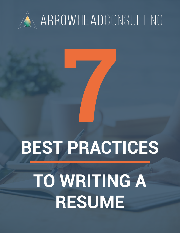

### ARROWHEADCONSULTING

# **7 BEST PRACTICES**

## **TO WRITING A RESUME**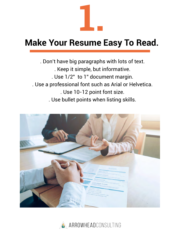

#### **Make Your Resume Easy To Read.**

. Don't have big paragraphs with lots of text. . Keep it simple, but informative. . Use 1/2" to 1" document margin. . Use a professional font such as Arial or Helvetica. . Use 10-12 point font size. . Use bullet points when listing skills.



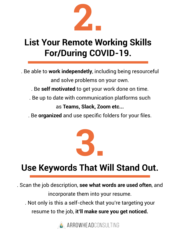

#### **List Your Remote Working Skills For/During COVID-19.**

. Be able to **work independetly**, including being resourceful and solve problems on your own.

. Be **self motivated** to get your work done on time.

. Be up to date with communication platforms such

as **Teams, Slack, Zoom etc...** 

. Be **organized** and use specific folders for your files.



#### **Use Keywords That Will Stand Out.**

. Scan the job description, **see what words are used often**, and incorporate them into your resume.

. Not only is this a self-check that you're targeting your resume to the job, **it'll make sure you get noticed.**

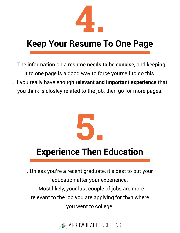

#### **Keep Your Resume To One Page**

. The information on a resume **needs to be concise**, and keeping it to **one page** is a good way to force yourself to do this. . If you really have enough **relevant and important experience** that you think is closley related to the job, then go for more pages.



#### **Experience Then Education**

. Unless you're a recent graduate, it's best to put your education after your experience. . Most likely, your last couple of jobs are more relevant to the job you are applying for than where you went to college.

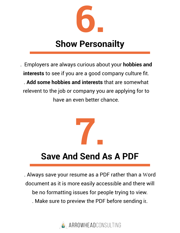

#### **Show Personailty**

. Employers are always curious about your **hobbies and interests** to see if you are a good company culture fit. . **Add some hobbies and interests** that are somewhat relevent to the job or company you are applying for to have an even better chance.



#### **Save And Send As A PDF**

. Always save your resume as a PDF rather than a Word document as it is more easily accessible and there will be no formatting issues for people trying to view. . Make sure to preview the PDF before sending it.